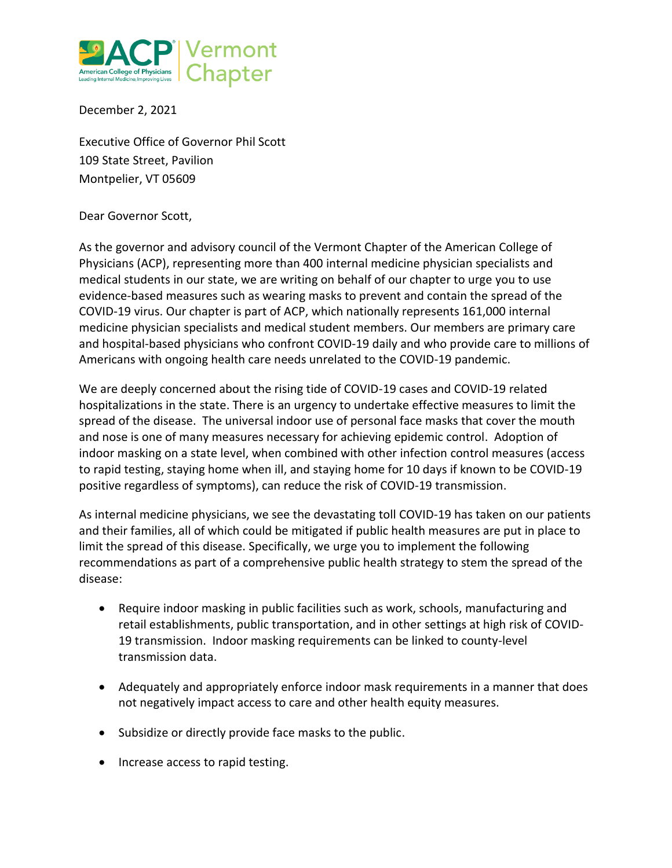

December 2, 2021

Executive Office of Governor Phil Scott 109 State Street, Pavilion Montpelier, VT 05609

## Dear Governor Scott,

As the governor and advisory council of the Vermont Chapter of the American College of Physicians (ACP), representing more than 400 internal medicine physician specialists and medical students in our state, we are writing on behalf of our chapter to urge you to use evidence-based measures such as wearing masks to prevent and contain the spread of the COVID-19 virus. Our chapter is part of ACP, which nationally represents 161,000 internal medicine physician specialists and medical student members. Our members are primary care and hospital-based physicians who confront COVID-19 daily and who provide care to millions of Americans with ongoing health care needs unrelated to the COVID-19 pandemic.

We are deeply concerned about the rising tide of COVID-19 cases and COVID-19 related hospitalizations in the state. There is an urgency to undertake effective measures to limit the spread of the disease. The universal indoor use of personal face masks that cover the mouth and nose is one of many measures necessary for achieving epidemic control. Adoption of indoor masking on a state level, when combined with other infection control measures (access to rapid testing, staying home when ill, and staying home for 10 days if known to be COVID-19 positive regardless of symptoms), can reduce the risk of COVID-19 transmission.

As internal medicine physicians, we see the devastating toll COVID-19 has taken on our patients and their families, all of which could be mitigated if public health measures are put in place to limit the spread of this disease. Specifically, we urge you to implement the following recommendations as part of a comprehensive public health strategy to stem the spread of the disease:

- Require indoor masking in public facilities such as work, schools, manufacturing and retail establishments, public transportation, and in other settings at high risk of COVID-19 transmission. Indoor masking requirements can be linked to county-level transmission data.
- Adequately and appropriately enforce indoor mask requirements in a manner that does not negatively impact access to care and other health equity measures.
- Subsidize or directly provide face masks to the public.
- Increase access to rapid testing.